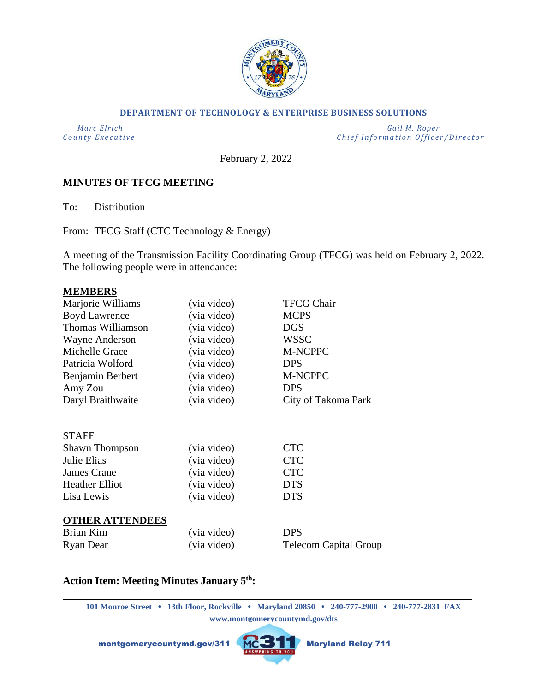

### **DEPARTMENT OF TECHNOLOGY & ENTERPRISE BUSINESS SOLUTIONS**

 *Marc Elrich Gail M. Roper County Executive County Executive Chief Information Officer/Director* 

February 2, 2022

# **MINUTES OF TFCG MEETING**

To: Distribution

From: TFCG Staff (CTC Technology & Energy)

A meeting of the Transmission Facility Coordinating Group (TFCG) was held on February 2, 2022. The following people were in attendance:

### **MEMBERS**

| Marjorie Williams      | (via video) | <b>TFCG Chair</b>            |
|------------------------|-------------|------------------------------|
| <b>Boyd Lawrence</b>   | (via video) | <b>MCPS</b>                  |
| Thomas Williamson      | (via video) | <b>DGS</b>                   |
| Wayne Anderson         | (via video) | <b>WSSC</b>                  |
| Michelle Grace         | (via video) | M-NCPPC                      |
| Patricia Wolford       | (via video) | <b>DPS</b>                   |
| Benjamin Berbert       | (via video) | M-NCPPC                      |
| Amy Zou                | (via video) | <b>DPS</b>                   |
| Daryl Braithwaite      | (via video) | City of Takoma Park          |
|                        |             |                              |
| <b>STAFF</b>           |             |                              |
| <b>Shawn Thompson</b>  | (via video) | <b>CTC</b>                   |
| Julie Elias            | (via video) | <b>CTC</b>                   |
| James Crane            | (via video) | <b>CTC</b>                   |
| <b>Heather Elliot</b>  | (via video) | <b>DTS</b>                   |
| Lisa Lewis             | (via video) | <b>DTS</b>                   |
|                        |             |                              |
| <b>OTHER ATTENDEES</b> |             |                              |
| Brian Kim              | (via video) | <b>DPS</b>                   |
| Ryan Dear              | (via video) | <b>Telecom Capital Group</b> |
|                        |             |                              |

# **Action Item: Meeting Minutes January 5th:**

**101 Monroe Street • 13th Floor, Rockville • Maryland 20850 • 240-777-2900 • 240-777-2831 FAX www.montgomerycountymd.gov/dts**

montgomerycountymd.gov/311 MCSTT Maryland Relay 711

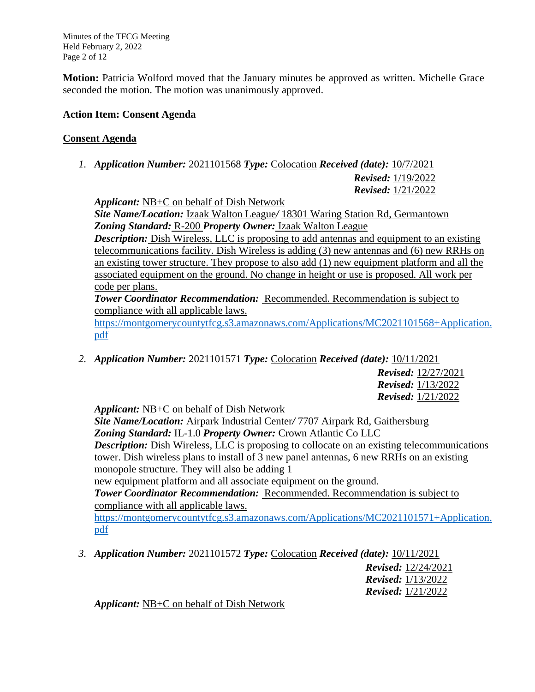Minutes of the TFCG Meeting Held February 2, 2022 Page 2 of 12

**Motion:** Patricia Wolford moved that the January minutes be approved as written. Michelle Grace seconded the motion. The motion was unanimously approved.

### **Action Item: Consent Agenda**

# **Consent Agenda**

*1. Application Number:* 2021101568 *Type:* Colocation *Received (date):* 10/7/2021

*Revised:* 1/19/2022 *Revised:* 1/21/2022

*Applicant:* NB+C on behalf of Dish Network

*Site Name/Location:* Izaak Walton League*/* 18301 Waring Station Rd, Germantown *Zoning Standard:* R-200 *Property Owner:* Izaak Walton League

*Description:* Dish Wireless, LLC is proposing to add antennas and equipment to an existing telecommunications facility. Dish Wireless is adding (3) new antennas and (6) new RRHs on an existing tower structure. They propose to also add (1) new equipment platform and all the associated equipment on the ground. No change in height or use is proposed. All work per code per plans.

*Tower Coordinator Recommendation:* Recommended. Recommendation is subject to compliance with all applicable laws.

[https://montgomerycountytfcg.s3.amazonaws.com/Applications/MC2021101568+Application.](https://montgomerycountytfcg.s3.amazonaws.com/Applications/MC2021101568+Application.pdf) [pdf](https://montgomerycountytfcg.s3.amazonaws.com/Applications/MC2021101568+Application.pdf)

*2. Application Number:* 2021101571 *Type:* Colocation *Received (date):* 10/11/2021

*Revised:* 12/27/2021 *Revised:* 1/13/2022 *Revised:* 1/21/2022

*Applicant:* NB+C on behalf of Dish Network

*Site Name/Location:* Airpark Industrial Center*/* 7707 Airpark Rd, Gaithersburg *Zoning Standard:* IL-1.0 *Property Owner:* Crown Atlantic Co LLC *Description:* Dish Wireless, LLC is proposing to collocate on an existing telecommunications tower. Dish wireless plans to install of 3 new panel antennas, 6 new RRHs on an existing monopole structure. They will also be adding 1 new equipment platform and all associate equipment on the ground.

*Tower Coordinator Recommendation:* Recommended. Recommendation is subject to compliance with all applicable laws.

[https://montgomerycountytfcg.s3.amazonaws.com/Applications/MC2021101571+Application.](https://montgomerycountytfcg.s3.amazonaws.com/Applications/MC2021101571+Application.pdf) [pdf](https://montgomerycountytfcg.s3.amazonaws.com/Applications/MC2021101571+Application.pdf)

*3. Application Number:* 2021101572 *Type:* Colocation *Received (date):* 10/11/2021

*Revised:* 12/24/2021 *Revised:* 1/13/2022 *Revised:* 1/21/2022

*Applicant:* NB+C on behalf of Dish Network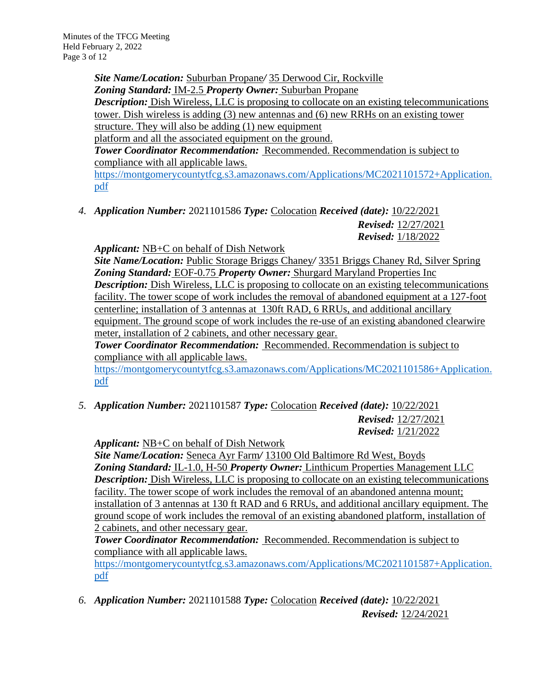*Site Name/Location:* Suburban Propane*/* 35 Derwood Cir, Rockville *Zoning Standard:* IM-2.5 *Property Owner:* Suburban Propane *Description:* Dish Wireless, LLC is proposing to collocate on an existing telecommunications tower. Dish wireless is adding (3) new antennas and (6) new RRHs on an existing tower structure. They will also be adding  $(1)$  new equipment platform and all the associated equipment on the ground. *Tower Coordinator Recommendation:* Recommended. Recommendation is subject to compliance with all applicable laws. [https://montgomerycountytfcg.s3.amazonaws.com/Applications/MC2021101572+Application.](https://montgomerycountytfcg.s3.amazonaws.com/Applications/MC2021101572+Application.pdf) [pdf](https://montgomerycountytfcg.s3.amazonaws.com/Applications/MC2021101572+Application.pdf)

*4. Application Number:* 2021101586 *Type:* Colocation *Received (date):* 10/22/2021 *Revised:* 12/27/2021 *Revised:* 1/18/2022

*Applicant:* NB+C on behalf of Dish Network

*Site Name/Location:* Public Storage Briggs Chaney*/* 3351 Briggs Chaney Rd, Silver Spring *Zoning Standard:* EOF-0.75 *Property Owner:* Shurgard Maryland Properties Inc *Description:* Dish Wireless, LLC is proposing to collocate on an existing telecommunications facility. The tower scope of work includes the removal of abandoned equipment at a 127-foot centerline; installation of 3 antennas at 130ft RAD, 6 RRUs, and additional ancillary equipment. The ground scope of work includes the re-use of an existing abandoned clearwire meter, installation of 2 cabinets, and other necessary gear.

*Tower Coordinator Recommendation:* Recommended. Recommendation is subject to compliance with all applicable laws.

[https://montgomerycountytfcg.s3.amazonaws.com/Applications/MC2021101586+Application.](https://montgomerycountytfcg.s3.amazonaws.com/Applications/MC2021101586+Application.pdf) [pdf](https://montgomerycountytfcg.s3.amazonaws.com/Applications/MC2021101586+Application.pdf)

*5. Application Number:* 2021101587 *Type:* Colocation *Received (date):* 10/22/2021 *Revised:* 12/27/2021

*Revised:* 1/21/2022

*Applicant:* NB+C on behalf of Dish Network

*Site Name/Location:* Seneca Ayr Farm*/* 13100 Old Baltimore Rd West, Boyds *Zoning Standard:* IL-1.0, H-50 *Property Owner:* Linthicum Properties Management LLC *Description:* Dish Wireless, LLC is proposing to collocate on an existing telecommunications facility. The tower scope of work includes the removal of an abandoned antenna mount; installation of 3 antennas at 130 ft RAD and 6 RRUs, and additional ancillary equipment. The ground scope of work includes the removal of an existing abandoned platform, installation of 2 cabinets, and other necessary gear.

*Tower Coordinator Recommendation:* Recommended. Recommendation is subject to compliance with all applicable laws.

[https://montgomerycountytfcg.s3.amazonaws.com/Applications/MC2021101587+Application.](https://montgomerycountytfcg.s3.amazonaws.com/Applications/MC2021101587+Application.pdf) [pdf](https://montgomerycountytfcg.s3.amazonaws.com/Applications/MC2021101587+Application.pdf)

*6. Application Number:* 2021101588 *Type:* Colocation *Received (date):* 10/22/2021 *Revised:* 12/24/2021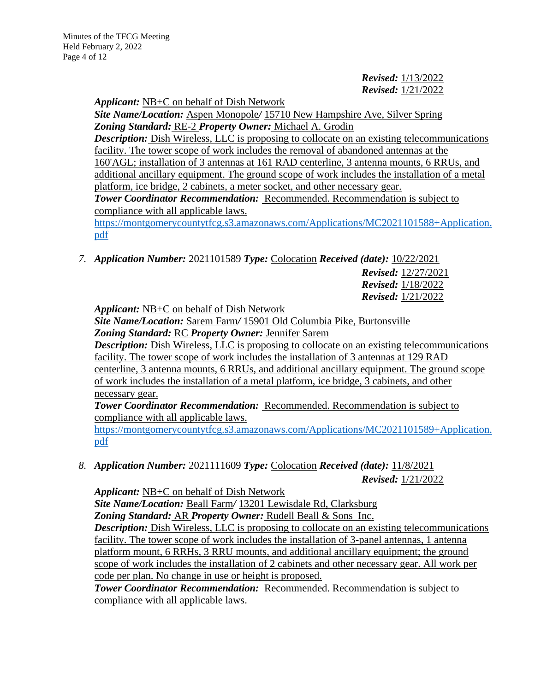# *Revised:* 1/13/2022 *Revised:* 1/21/2022

*Applicant:* NB+C on behalf of Dish Network

*Site Name/Location:* Aspen Monopole*/* 15710 New Hampshire Ave, Silver Spring *Zoning Standard:* RE-2 *Property Owner:* Michael A. Grodin

*Description:* Dish Wireless, LLC is proposing to collocate on an existing telecommunications facility. The tower scope of work includes the removal of abandoned antennas at the 160'AGL; installation of 3 antennas at 161 RAD centerline, 3 antenna mounts, 6 RRUs, and additional ancillary equipment. The ground scope of work includes the installation of a metal platform, ice bridge, 2 cabinets, a meter socket, and other necessary gear. **Tower Coordinator Recommendation:** Recommended. Recommendation is subject to

compliance with all applicable laws.

[https://montgomerycountytfcg.s3.amazonaws.com/Applications/MC2021101588+Application.](https://montgomerycountytfcg.s3.amazonaws.com/Applications/MC2021101588+Application.pdf) [pdf](https://montgomerycountytfcg.s3.amazonaws.com/Applications/MC2021101588+Application.pdf)

*7. Application Number:* 2021101589 *Type:* Colocation *Received (date):* 10/22/2021

*Revised:* 12/27/2021 *Revised:* 1/18/2022 *Revised:* 1/21/2022

*Applicant:* NB+C on behalf of Dish Network

*Site Name/Location:* Sarem Farm*/* 15901 Old Columbia Pike, Burtonsville *Zoning Standard:* RC *Property Owner:* Jennifer Sarem

*Description:* Dish Wireless, LLC is proposing to collocate on an existing telecommunications facility. The tower scope of work includes the installation of 3 antennas at 129 RAD centerline, 3 antenna mounts, 6 RRUs, and additional ancillary equipment. The ground scope

of work includes the installation of a metal platform, ice bridge, 3 cabinets, and other necessary gear.

*Tower Coordinator Recommendation:* Recommended. Recommendation is subject to compliance with all applicable laws.

[https://montgomerycountytfcg.s3.amazonaws.com/Applications/MC2021101589+Application.](https://montgomerycountytfcg.s3.amazonaws.com/Applications/MC2021101589+Application.pdf) [pdf](https://montgomerycountytfcg.s3.amazonaws.com/Applications/MC2021101589+Application.pdf)

*8. Application Number:* 2021111609 *Type:* Colocation *Received (date):* 11/8/2021 *Revised:* 1/21/2022

*Applicant:* NB+C on behalf of Dish Network

*Site Name/Location:* Beall Farm*/* 13201 Lewisdale Rd, Clarksburg *Zoning Standard:* AR *Property Owner:* Rudell Beall & Sons Inc. *Description:* Dish Wireless, LLC is proposing to collocate on an existing telecommunications facility. The tower scope of work includes the installation of 3-panel antennas, 1 antenna platform mount, 6 RRHs, 3 RRU mounts, and additional ancillary equipment; the ground scope of work includes the installation of 2 cabinets and other necessary gear. All work per code per plan. No change in use or height is proposed.

*Tower Coordinator Recommendation:* Recommended. Recommendation is subject to compliance with all applicable laws.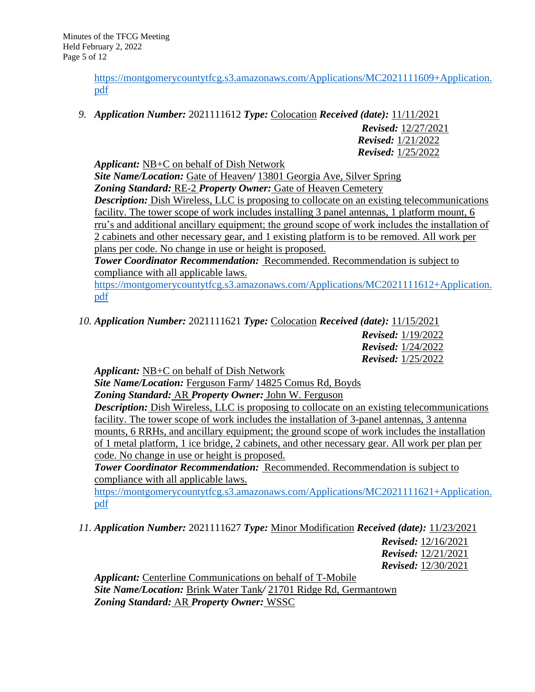[https://montgomerycountytfcg.s3.amazonaws.com/Applications/MC2021111609+Application.](https://montgomerycountytfcg.s3.amazonaws.com/Applications/MC2021111609+Application.pdf) [pdf](https://montgomerycountytfcg.s3.amazonaws.com/Applications/MC2021111609+Application.pdf)

*9. Application Number:* 2021111612 *Type:* Colocation *Received (date):* 11/11/2021

*Revised:* 12/27/2021 *Revised:* 1/21/2022 *Revised:* 1/25/2022

*Applicant:* NB+C on behalf of Dish Network

*Site Name/Location:* Gate of Heaven*/* 13801 Georgia Ave, Silver Spring *Zoning Standard:* RE-2 *Property Owner:* Gate of Heaven Cemetery *Description:* Dish Wireless, LLC is proposing to collocate on an existing telecommunications facility. The tower scope of work includes installing 3 panel antennas, 1 platform mount, 6 rru's and additional ancillary equipment; the ground scope of work includes the installation of 2 cabinets and other necessary gear, and 1 existing platform is to be removed. All work per plans per code. No change in use or height is proposed.

*Tower Coordinator Recommendation:* Recommended. Recommendation is subject to compliance with all applicable laws.

[https://montgomerycountytfcg.s3.amazonaws.com/Applications/MC2021111612+Application.](https://montgomerycountytfcg.s3.amazonaws.com/Applications/MC2021111612+Application.pdf) [pdf](https://montgomerycountytfcg.s3.amazonaws.com/Applications/MC2021111612+Application.pdf)

*10. Application Number:* 2021111621 *Type:* Colocation *Received (date):* 11/15/2021

*Revised:* 1/19/2022 *Revised:* 1/24/2022 *Revised:* 1/25/2022

*Applicant:* NB+C on behalf of Dish Network

*Site Name/Location:* Ferguson Farm*/* 14825 Comus Rd, Boyds

*Zoning Standard:* AR *Property Owner:* John W. Ferguson

*Description:* Dish Wireless, LLC is proposing to collocate on an existing telecommunications facility. The tower scope of work includes the installation of 3-panel antennas, 3 antenna mounts, 6 RRHs, and ancillary equipment; the ground scope of work includes the installation of 1 metal platform, 1 ice bridge, 2 cabinets, and other necessary gear. All work per plan per code. No change in use or height is proposed.

*Tower Coordinator Recommendation:* Recommended. Recommendation is subject to compliance with all applicable laws.

[https://montgomerycountytfcg.s3.amazonaws.com/Applications/MC2021111621+Application.](https://montgomerycountytfcg.s3.amazonaws.com/Applications/MC2021111621+Application.pdf) [pdf](https://montgomerycountytfcg.s3.amazonaws.com/Applications/MC2021111621+Application.pdf)

*11. Application Number:* 2021111627 *Type:* Minor Modification *Received (date):* 11/23/2021

*Revised:* 12/16/2021 *Revised:* 12/21/2021 *Revised:* 12/30/2021

*Applicant:* Centerline Communications on behalf of T-Mobile *Site Name/Location:* Brink Water Tank*/* 21701 Ridge Rd, Germantown *Zoning Standard:* AR *Property Owner:* WSSC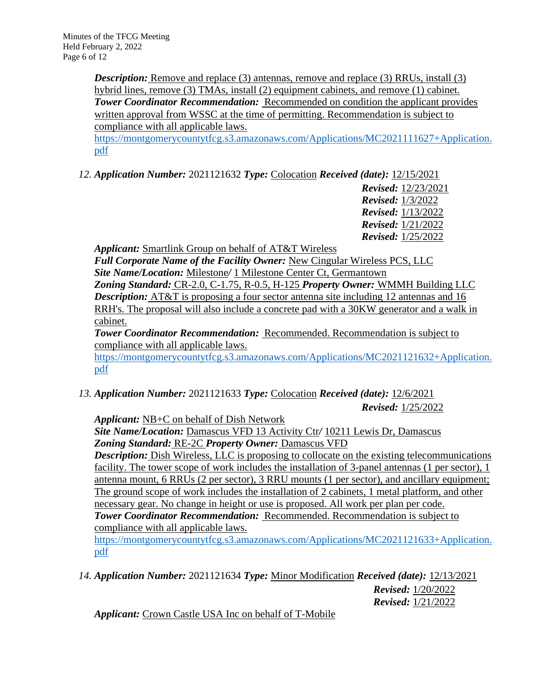*Description:* Remove and replace (3) antennas, remove and replace (3) RRUs, install (3) hybrid lines, remove (3) TMAs, install (2) equipment cabinets, and remove (1) cabinet. **Tower Coordinator Recommendation:** Recommended on condition the applicant provides written approval from WSSC at the time of permitting. Recommendation is subject to compliance with all applicable laws.

[https://montgomerycountytfcg.s3.amazonaws.com/Applications/MC2021111627+Application.](https://montgomerycountytfcg.s3.amazonaws.com/Applications/MC2021111627+Application.pdf) [pdf](https://montgomerycountytfcg.s3.amazonaws.com/Applications/MC2021111627+Application.pdf)

*12. Application Number:* 2021121632 *Type:* Colocation *Received (date):* 12/15/2021

*Revised:* 12/23/2021 *Revised:* 1/3/2022 *Revised:* 1/13/2022 *Revised:* 1/21/2022 *Revised:* 1/25/2022

*Applicant:* Smartlink Group on behalf of AT&T Wireless

*Full Corporate Name of the Facility Owner:* New Cingular Wireless PCS, LLC *Site Name/Location:* Milestone*/* 1 Milestone Center Ct, Germantown *Zoning Standard:* CR-2.0, C-1.75, R-0.5, H-125 *Property Owner:* WMMH Building LLC **Description:** AT&T is proposing a four sector antenna site including 12 antennas and 16 RRH's. The proposal will also include a concrete pad with a 30KW generator and a walk in cabinet.

*Tower Coordinator Recommendation:* Recommended. Recommendation is subject to compliance with all applicable laws.

[https://montgomerycountytfcg.s3.amazonaws.com/Applications/MC2021121632+Application.](https://montgomerycountytfcg.s3.amazonaws.com/Applications/MC2021121632+Application.pdf) [pdf](https://montgomerycountytfcg.s3.amazonaws.com/Applications/MC2021121632+Application.pdf)

*13. Application Number:* 2021121633 *Type:* Colocation *Received (date):* 12/6/2021

*Revised:* 1/25/2022

*Applicant:* NB+C on behalf of Dish Network

*Site Name/Location:* Damascus VFD 13 Activity Ctr*/* 10211 Lewis Dr, Damascus *Zoning Standard:* RE-2C *Property Owner:* Damascus VFD

**Description:** Dish Wireless, LLC is proposing to collocate on the existing telecommunications facility. The tower scope of work includes the installation of 3-panel antennas (1 per sector), 1 antenna mount, 6 RRUs (2 per sector), 3 RRU mounts (1 per sector), and ancillary equipment; The ground scope of work includes the installation of 2 cabinets, 1 metal platform, and other necessary gear. No change in height or use is proposed. All work per plan per code. *Tower Coordinator Recommendation:* Recommended. Recommendation is subject to compliance with all applicable laws.

[https://montgomerycountytfcg.s3.amazonaws.com/Applications/MC2021121633+Application.](https://montgomerycountytfcg.s3.amazonaws.com/Applications/MC2021121633+Application.pdf) [pdf](https://montgomerycountytfcg.s3.amazonaws.com/Applications/MC2021121633+Application.pdf)

*14. Application Number:* 2021121634 *Type:* Minor Modification *Received (date):* 12/13/2021 *Revised:* 1/20/2022 *Revised:* 1/21/2022

*Applicant:* Crown Castle USA Inc on behalf of T-Mobile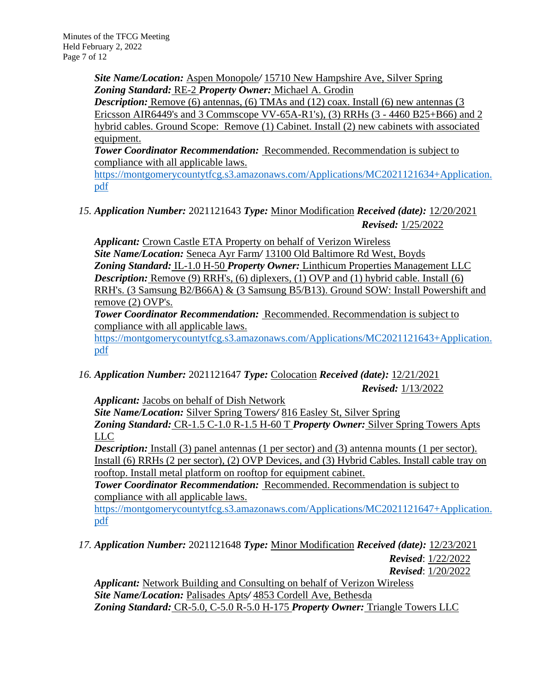*Site Name/Location:* Aspen Monopole*/* 15710 New Hampshire Ave, Silver Spring *Zoning Standard:* RE-2 *Property Owner:* Michael A. Grodin

**Description:** Remove (6) antennas, (6) TMAs and (12) coax. Install (6) new antennas (3 Ericsson AIR6449's and 3 Commscope VV-65A-R1's), (3) RRHs (3 - 4460 B25+B66) and 2 hybrid cables. Ground Scope: Remove (1) Cabinet. Install (2) new cabinets with associated equipment.

*Tower Coordinator Recommendation:* Recommended. Recommendation is subject to compliance with all applicable laws.

[https://montgomerycountytfcg.s3.amazonaws.com/Applications/MC2021121634+Application.](https://montgomerycountytfcg.s3.amazonaws.com/Applications/MC2021121634+Application.pdf) [pdf](https://montgomerycountytfcg.s3.amazonaws.com/Applications/MC2021121634+Application.pdf)

*15. Application Number:* 2021121643 *Type:* Minor Modification *Received (date):* 12/20/2021 *Revised:* 1/25/2022

*Applicant:* Crown Castle ETA Property on behalf of Verizon Wireless *Site Name/Location:* Seneca Ayr Farm*/* 13100 Old Baltimore Rd West, Boyds *Zoning Standard:* IL-1.0 H-50 *Property Owner:* Linthicum Properties Management LLC *Description:* Remove (9) RRH's, (6) diplexers, (1) OVP and (1) hybrid cable. Install (6) RRH's. (3 Samsung B2/B66A) & (3 Samsung B5/B13). Ground SOW: Install Powershift and remove (2) OVP's.

**Tower Coordinator Recommendation: Recommended. Recommendation is subject to** compliance with all applicable laws.

[https://montgomerycountytfcg.s3.amazonaws.com/Applications/MC2021121643+Application.](https://montgomerycountytfcg.s3.amazonaws.com/Applications/MC2021121643+Application.pdf) [pdf](https://montgomerycountytfcg.s3.amazonaws.com/Applications/MC2021121643+Application.pdf)

*16. Application Number:* 2021121647 *Type:* Colocation *Received (date):* 12/21/2021 *Revised:* 1/13/2022

*Applicant:* Jacobs on behalf of Dish Network

*Site Name/Location:* Silver Spring Towers*/* 816 Easley St, Silver Spring *Zoning Standard:* CR-1.5 C-1.0 R-1.5 H-60 T *Property Owner:* Silver Spring Towers Apts LLC

*Description:* Install (3) panel antennas (1 per sector) and (3) antenna mounts (1 per sector). Install (6) RRHs (2 per sector), (2) OVP Devices, and (3) Hybrid Cables. Install cable tray on rooftop. Install metal platform on rooftop for equipment cabinet.

**Tower Coordinator Recommendation: Recommended. Recommendation is subject to** compliance with all applicable laws.

[https://montgomerycountytfcg.s3.amazonaws.com/Applications/MC2021121647+Application.](https://montgomerycountytfcg.s3.amazonaws.com/Applications/MC2021121647+Application.pdf) [pdf](https://montgomerycountytfcg.s3.amazonaws.com/Applications/MC2021121647+Application.pdf)

*17. Application Number:* 2021121648 *Type:* Minor Modification *Received (date):* 12/23/2021 *Revised*: 1/22/2022 *Revised*: 1/20/2022

*Applicant:* Network Building and Consulting on behalf of Verizon Wireless *Site Name/Location:* Palisades Apts*/* 4853 Cordell Ave, Bethesda *Zoning Standard:* CR-5.0, C-5.0 R-5.0 H-175 *Property Owner:* Triangle Towers LLC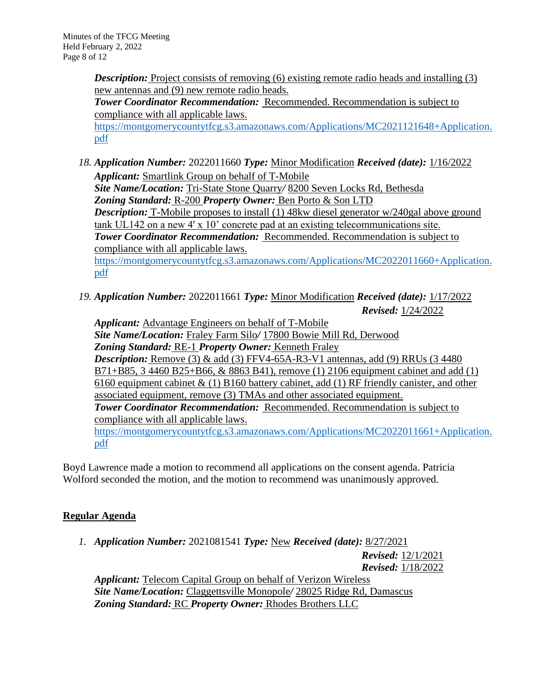*Description:* Project consists of removing (6) existing remote radio heads and installing (3) new antennas and (9) new remote radio heads.

*Tower Coordinator Recommendation:* Recommended. Recommendation is subject to compliance with all applicable laws. [https://montgomerycountytfcg.s3.amazonaws.com/Applications/MC2021121648+Application.](https://montgomerycountytfcg.s3.amazonaws.com/Applications/MC2021121648+Application.pdf) [pdf](https://montgomerycountytfcg.s3.amazonaws.com/Applications/MC2021121648+Application.pdf)

*18. Application Number:* 2022011660 *Type:* Minor Modification *Received (date):* 1/16/2022 *Applicant:* Smartlink Group on behalf of T-Mobile *Site Name/Location:* Tri-State Stone Quarry*/* 8200 Seven Locks Rd, Bethesda *Zoning Standard:* R-200 *Property Owner:* Ben Porto & Son LTD *Description:* T-Mobile proposes to install (1) 48kw diesel generator w/240gal above ground tank UL142 on a new 4' x 10' concrete pad at an existing telecommunications site. *Tower Coordinator Recommendation:* Recommended. Recommendation is subject to compliance with all applicable laws. [https://montgomerycountytfcg.s3.amazonaws.com/Applications/MC2022011660+Application.](https://montgomerycountytfcg.s3.amazonaws.com/Applications/MC2022011660+Application.pdf)

[pdf](https://montgomerycountytfcg.s3.amazonaws.com/Applications/MC2022011660+Application.pdf)

*19. Application Number:* 2022011661 *Type:* Minor Modification *Received (date):* 1/17/2022 *Revised:* 1/24/2022

*Applicant:* Advantage Engineers on behalf of T-Mobile *Site Name/Location:* Fraley Farm Silo*/* 17800 Bowie Mill Rd, Derwood *Zoning Standard:* RE-1 *Property Owner:* Kenneth Fraley *Description:* Remove (3) & add (3) FFV4-65A-R3-V1 antennas, add (9) RRUs (3 4480 B71+B85, 3 4460 B25+B66, & 8863 B41), remove (1) 2106 equipment cabinet and add (1) 6160 equipment cabinet  $\&$  (1) B160 battery cabinet, add (1) RF friendly canister, and other associated equipment, remove (3) TMAs and other associated equipment. *Tower Coordinator Recommendation:* Recommended. Recommendation is subject to compliance with all applicable laws. [https://montgomerycountytfcg.s3.amazonaws.com/Applications/MC2022011661+Application.](https://montgomerycountytfcg.s3.amazonaws.com/Applications/MC2022011661+Application.pdf) [pdf](https://montgomerycountytfcg.s3.amazonaws.com/Applications/MC2022011661+Application.pdf)

Boyd Lawrence made a motion to recommend all applications on the consent agenda. Patricia Wolford seconded the motion, and the motion to recommend was unanimously approved.

# **Regular Agenda**

*1. Application Number:* 2021081541 *Type:* New *Received (date):* 8/27/2021

*Revised:* 12/1/2021 *Revised:* 1/18/2022

*Applicant:* Telecom Capital Group on behalf of Verizon Wireless *Site Name/Location:* Claggettsville Monopole*/* 28025 Ridge Rd, Damascus *Zoning Standard:* RC *Property Owner:* Rhodes Brothers LLC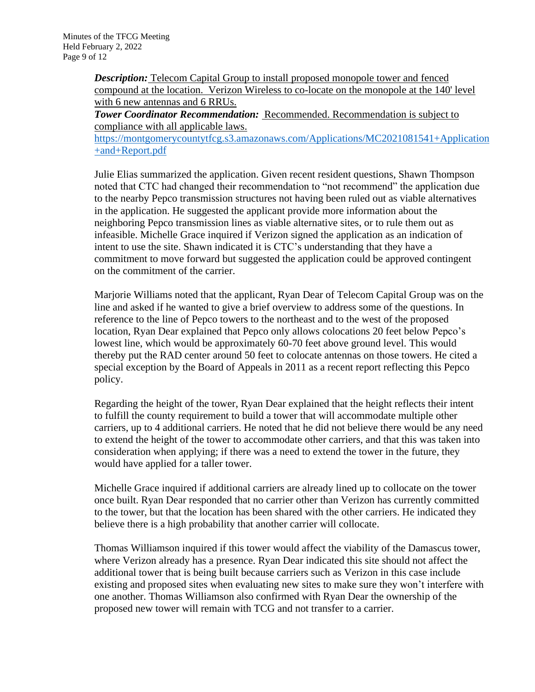*Description:* Telecom Capital Group to install proposed monopole tower and fenced compound at the location. Verizon Wireless to co-locate on the monopole at the 140' level with 6 new antennas and 6 RRUs.

*Tower Coordinator Recommendation:* Recommended. Recommendation is subject to compliance with all applicable laws.

[https://montgomerycountytfcg.s3.amazonaws.com/Applications/MC2021081541+Application](https://montgomerycountytfcg.s3.amazonaws.com/Applications/MC2021081541+Application+and+Report.pdf) [+and+Report.pdf](https://montgomerycountytfcg.s3.amazonaws.com/Applications/MC2021081541+Application+and+Report.pdf)

Julie Elias summarized the application. Given recent resident questions, Shawn Thompson noted that CTC had changed their recommendation to "not recommend" the application due to the nearby Pepco transmission structures not having been ruled out as viable alternatives in the application. He suggested the applicant provide more information about the neighboring Pepco transmission lines as viable alternative sites, or to rule them out as infeasible. Michelle Grace inquired if Verizon signed the application as an indication of intent to use the site. Shawn indicated it is CTC's understanding that they have a commitment to move forward but suggested the application could be approved contingent on the commitment of the carrier.

Marjorie Williams noted that the applicant, Ryan Dear of Telecom Capital Group was on the line and asked if he wanted to give a brief overview to address some of the questions. In reference to the line of Pepco towers to the northeast and to the west of the proposed location, Ryan Dear explained that Pepco only allows colocations 20 feet below Pepco's lowest line, which would be approximately 60-70 feet above ground level. This would thereby put the RAD center around 50 feet to colocate antennas on those towers. He cited a special exception by the Board of Appeals in 2011 as a recent report reflecting this Pepco policy.

Regarding the height of the tower, Ryan Dear explained that the height reflects their intent to fulfill the county requirement to build a tower that will accommodate multiple other carriers, up to 4 additional carriers. He noted that he did not believe there would be any need to extend the height of the tower to accommodate other carriers, and that this was taken into consideration when applying; if there was a need to extend the tower in the future, they would have applied for a taller tower.

Michelle Grace inquired if additional carriers are already lined up to collocate on the tower once built. Ryan Dear responded that no carrier other than Verizon has currently committed to the tower, but that the location has been shared with the other carriers. He indicated they believe there is a high probability that another carrier will collocate.

Thomas Williamson inquired if this tower would affect the viability of the Damascus tower, where Verizon already has a presence. Ryan Dear indicated this site should not affect the additional tower that is being built because carriers such as Verizon in this case include existing and proposed sites when evaluating new sites to make sure they won't interfere with one another. Thomas Williamson also confirmed with Ryan Dear the ownership of the proposed new tower will remain with TCG and not transfer to a carrier.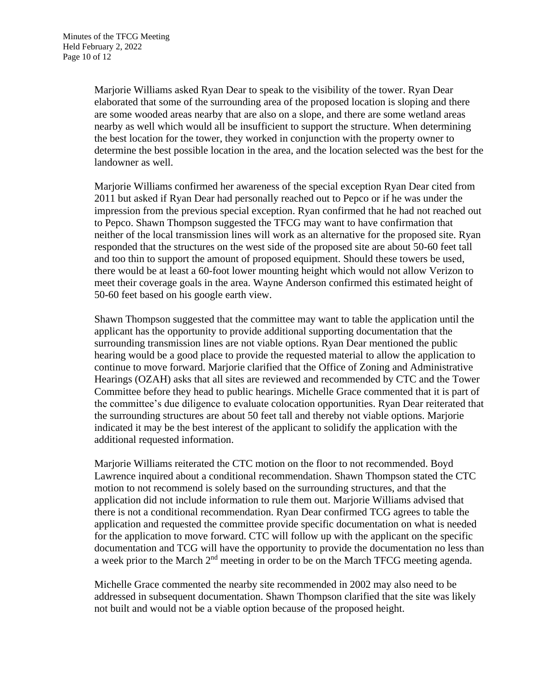Marjorie Williams asked Ryan Dear to speak to the visibility of the tower. Ryan Dear elaborated that some of the surrounding area of the proposed location is sloping and there are some wooded areas nearby that are also on a slope, and there are some wetland areas nearby as well which would all be insufficient to support the structure. When determining the best location for the tower, they worked in conjunction with the property owner to determine the best possible location in the area, and the location selected was the best for the landowner as well.

Marjorie Williams confirmed her awareness of the special exception Ryan Dear cited from 2011 but asked if Ryan Dear had personally reached out to Pepco or if he was under the impression from the previous special exception. Ryan confirmed that he had not reached out to Pepco. Shawn Thompson suggested the TFCG may want to have confirmation that neither of the local transmission lines will work as an alternative for the proposed site. Ryan responded that the structures on the west side of the proposed site are about 50-60 feet tall and too thin to support the amount of proposed equipment. Should these towers be used, there would be at least a 60-foot lower mounting height which would not allow Verizon to meet their coverage goals in the area. Wayne Anderson confirmed this estimated height of 50-60 feet based on his google earth view.

Shawn Thompson suggested that the committee may want to table the application until the applicant has the opportunity to provide additional supporting documentation that the surrounding transmission lines are not viable options. Ryan Dear mentioned the public hearing would be a good place to provide the requested material to allow the application to continue to move forward. Marjorie clarified that the Office of Zoning and Administrative Hearings (OZAH) asks that all sites are reviewed and recommended by CTC and the Tower Committee before they head to public hearings. Michelle Grace commented that it is part of the committee's due diligence to evaluate colocation opportunities. Ryan Dear reiterated that the surrounding structures are about 50 feet tall and thereby not viable options. Marjorie indicated it may be the best interest of the applicant to solidify the application with the additional requested information.

Marjorie Williams reiterated the CTC motion on the floor to not recommended. Boyd Lawrence inquired about a conditional recommendation. Shawn Thompson stated the CTC motion to not recommend is solely based on the surrounding structures, and that the application did not include information to rule them out. Marjorie Williams advised that there is not a conditional recommendation. Ryan Dear confirmed TCG agrees to table the application and requested the committee provide specific documentation on what is needed for the application to move forward. CTC will follow up with the applicant on the specific documentation and TCG will have the opportunity to provide the documentation no less than a week prior to the March 2nd meeting in order to be on the March TFCG meeting agenda.

Michelle Grace commented the nearby site recommended in 2002 may also need to be addressed in subsequent documentation. Shawn Thompson clarified that the site was likely not built and would not be a viable option because of the proposed height.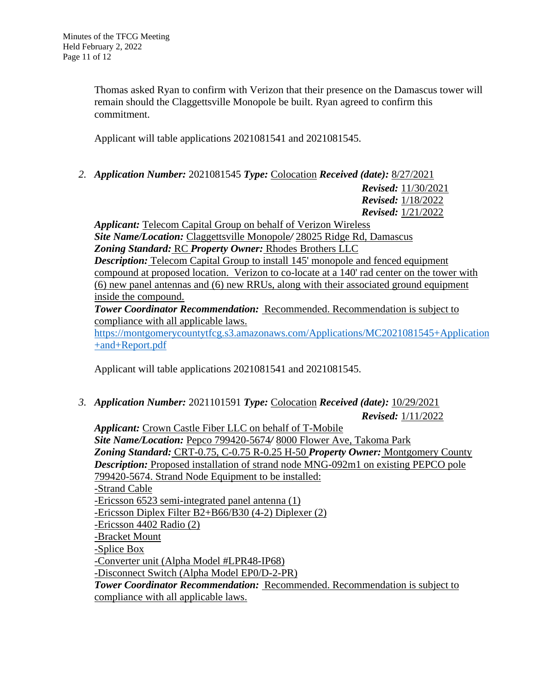Thomas asked Ryan to confirm with Verizon that their presence on the Damascus tower will remain should the Claggettsville Monopole be built. Ryan agreed to confirm this commitment.

Applicant will table applications 2021081541 and 2021081545.

*2. Application Number:* 2021081545 *Type:* Colocation *Received (date):* 8/27/2021

*Revised:* 11/30/2021 *Revised:* 1/18/2022 *Revised:* 1/21/2022

*Applicant:* Telecom Capital Group on behalf of Verizon Wireless *Site Name/Location:* Claggettsville Monopole*/* 28025 Ridge Rd, Damascus *Zoning Standard:* RC *Property Owner:* Rhodes Brothers LLC *Description:* Telecom Capital Group to install 145' monopole and fenced equipment compound at proposed location. Verizon to co-locate at a 140' rad center on the tower with (6) new panel antennas and (6) new RRUs, along with their associated ground equipment inside the compound.

*Tower Coordinator Recommendation:* Recommended. Recommendation is subject to compliance with all applicable laws.

[https://montgomerycountytfcg.s3.amazonaws.com/Applications/MC2021081545+Application](https://montgomerycountytfcg.s3.amazonaws.com/Applications/MC2021081545+Application+and+Report.pdf) [+and+Report.pdf](https://montgomerycountytfcg.s3.amazonaws.com/Applications/MC2021081545+Application+and+Report.pdf)

Applicant will table applications 2021081541 and 2021081545.

*3. Application Number:* 2021101591 *Type:* Colocation *Received (date):* 10/29/2021 *Revised:* 1/11/2022

*Applicant:* Crown Castle Fiber LLC on behalf of T-Mobile *Site Name/Location:* Pepco 799420-5674*/* 8000 Flower Ave, Takoma Park *Zoning Standard:* CRT-0.75, C-0.75 R-0.25 H-50 *Property Owner:* Montgomery County **Description:** Proposed installation of strand node MNG-092m1 on existing PEPCO pole 799420-5674. Strand Node Equipment to be installed: -Strand Cable -Ericsson 6523 semi-integrated panel antenna (1) -Ericsson Diplex Filter B2+B66/B30 (4-2) Diplexer (2) -Ericsson 4402 Radio (2) -Bracket Mount -Splice Box -Converter unit (Alpha Model #LPR48-IP68) -Disconnect Switch (Alpha Model EP0/D-2-PR) *Tower Coordinator Recommendation:* Recommended. Recommendation is subject to

compliance with all applicable laws.